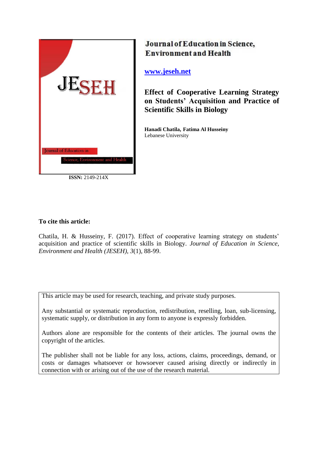

**ISSN:** 2149-214X

# Journal of Education in Science, **Environment and Health**

**[www.jeseh.net](file:///C:/Users/mustafa/Desktop/www.jeseh.net)**

**Effect of Cooperative Learning Strategy on Students' Acquisition and Practice of Scientific Skills in Biology** 

**Hanadi Chatila, Fatima Al Husseiny** Lebanese University

# **To cite this article:**

Chatila, H. & Husseiny, F. (2017). Effect of cooperative learning strategy on students' acquisition and practice of scientific skills in Biology. *Journal of Education in Science, Environment and Health (JESEH), 3*(1), 88-99.

This article may be used for research, teaching, and private study purposes.

Any substantial or systematic reproduction, redistribution, reselling, loan, sub-licensing, systematic supply, or distribution in any form to anyone is expressly forbidden.

Authors alone are responsible for the contents of their articles. The journal owns the copyright of the articles.

The publisher shall not be liable for any loss, actions, claims, proceedings, demand, or costs or damages whatsoever or howsoever caused arising directly or indirectly in connection with or arising out of the use of the research material.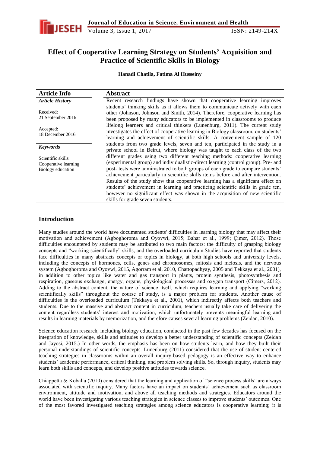

# **Effect of Cooperative Learning Strategy on Students' Acquisition and Practice of Scientific Skills in Biology**

**Hanadi Chatila, Fatima Al Husseiny**

| <b>Article Info</b>                                            | <b>Abstract</b>                                                                                                                                                                                                                                                                                                                                                                                                                                                                                                                                                                                                                                                                                                       |
|----------------------------------------------------------------|-----------------------------------------------------------------------------------------------------------------------------------------------------------------------------------------------------------------------------------------------------------------------------------------------------------------------------------------------------------------------------------------------------------------------------------------------------------------------------------------------------------------------------------------------------------------------------------------------------------------------------------------------------------------------------------------------------------------------|
| <b>Article History</b>                                         | Recent research findings have shown that cooperative learning improves                                                                                                                                                                                                                                                                                                                                                                                                                                                                                                                                                                                                                                                |
| Received:<br>21 September 2016                                 | students' thinking skills as it allows them to communicate actively with each<br>other (Johnson, Johnson and Smith, 2014). Therefore, cooperative learning has<br>been proposed by many educators to be implemented in classrooms to produce                                                                                                                                                                                                                                                                                                                                                                                                                                                                          |
| Accepted:<br>18 December 2016                                  | lifelong learners and critical thinkers (Lunenburg, 2011). The current study<br>investigates the effect of cooperative learning in Biology classroom, on students'<br>learning and achievement of scientific skills. A convenient sample of 120                                                                                                                                                                                                                                                                                                                                                                                                                                                                       |
| <b>Keywords</b>                                                | students from two grade levels, seven and ten, participated in the study in a                                                                                                                                                                                                                                                                                                                                                                                                                                                                                                                                                                                                                                         |
| Scientific skills<br>Cooperative learning<br>Biology education | private school in Beirut, where biology was taught to each class of the two<br>different grades using two different teaching methods: cooperative learning<br>(experimental group) and individualistic-direct learning (control group). Pre- and<br>post- tests were administrated to both groups of each grade to compare students'<br>achievement particularly in scientific skills items before and after intervention.<br>Results of the study show that cooperative learning has a significant effect on<br>students' achievement in learning and practicing scientific skills in grade ten,<br>however no significant effect was shown in the acquisition of new scientific<br>skills for grade seven students. |

## **Introduction**

Many studies around the world have documented students' difficulties in learning biology that may affect their motivation and achievement (Agboghoroma and Oyovwi, 2015; Bahar et al., 1999; Çimer, 2012). Those difficulties encountered by students may be attributed to two main factors: the difficulty of grasping biology concepts and "working scientifically" skills, and the overloaded curriculum.Studies have reported that students face difficulties in many abstracts concepts or topics in biology, at both high schools and university levels, including the concepts of hormones, cells, genes and chromosomes, mitosis and meiosis, and the nervous system (Agboghoroma and Oyovwi, 2015, Agorram et al, 2010, Chattopadhyay, 2005 and Tekkaya et al., 2001), in addition to other topics like water and gas transport in plants, protein synthesis, photosynthesis and respiration, gaseous exchange, energy, organs, physiological processes and oxygen transport (Çimers, 2012). Adding to the abstract content, the nature of science itself, which requires learning and applying "working scientifically skills" throughout the course of study, is a major problem for students. Another cause of difficulties is the overloaded curriculum (Tekkaya et al., 2001), which indirectly affects both teachers and students. Due to the massive and abstract content in curriculum, teachers usually take care of delivering the content regardless students' interest and motivation, which unfortunately prevents meaningful learning and results in learning materials by memorization, and therefore causes several learning problems (Zeidan, 2010).

Science education research, including biology education, conducted in the past few decades has focused on the integration of knowledge, skills and attitudes to develop a better understanding of scientific concepts (Zeidan and Jayosi, 2015.) In other words, the emphasis has been on how students learn, and how they built their personal understandings of scientific concepts. Lunenburg (2011) considered that the use of student-centered teaching strategies in classrooms within an overall inquiry-based pedagogy is an effective way to enhance students' academic performance, critical thinking, and problem solving skills. So, through inquiry, students may learn both skills and concepts, and develop positive attitudes towards science.

Chiappetta & Koballa (2010) considered that the learning and application of "science process skills" are always associated with scientific inquiry. Many factors have an impact on students' achievement such as classroom environment, attitude and motivation, and above all teaching methods and strategies. Educators around the world have been investigating various teaching strategies in science classes to improve students' outcomes. One of the most favored investigated teaching strategies among science educators is cooperative learning; it is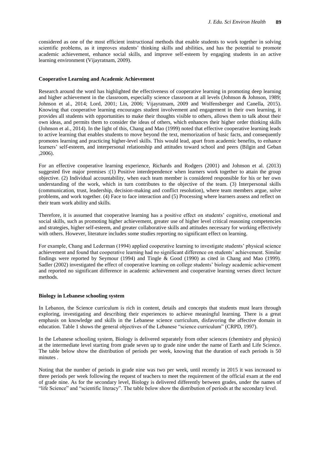considered as one of the most efficient instructional methods that enable students to work together in solving scientific problems, as it improves students' thinking skills and abilities, and has the potential to promote academic achievement, enhance social skills, and improve self-esteem by engaging students in an active learning environment (Vijayratnam, 2009).

#### **Cooperative Learning and Academic Achievement**

Research around the word has highlighted the effectiveness of cooperative learning in promoting deep learning and higher achievement in the classroom, especially science classroom at all levels (Johnson & Johnson, 1989; Johnson et al., 2014; Lord, 2001; Lin, 2006; Vijayratnam, 2009 and Wolfensberger and Canella, 2015). Knowing that cooperative learning encourages student involvement and engagement in their own learning, it provides all students with opportunities to make their thoughts visible to others, allows them to talk about their own ideas, and permits them to consider the ideas of others, which enhances their higher order thinking skills (Johnson et al., 2014). In the light of this, Chang and Mao (1999) noted that effective cooperative learning leads to active learning that enables students to move beyond the text, memorization of basic facts, and consequently promotes learning and practicing higher-level skills. This would lead, apart from academic benefits, to enhance learners' self-esteem, and interpersonal relationship and attitudes toward school and peers (Bilgin and Geban ,2006).

For an effective cooperative learning experience, Richards and Rodgers (2001) and Johnson et al. (2013) suggested five major premises :(1) Positive interdependence when learners work together to attain the group objective. (2) Individual accountability, when each team member is considered responsible for his or her own understanding of the work, which in turn contributes to the objective of the team. (3) Interpersonal skills (communication, trust, leadership, decision-making and conflict resolution), where team members argue, solve problems, and work together. (4) Face to face interaction and (5) Processing where learners assess and reflect on their team work ability and skills.

Therefore, it is assumed that cooperative learning has a positive effect on students' cognitive, emotional and social skills, such as promoting higher achievement, greater use of higher level critical reasoning competencies and strategies, higher self-esteem, and greater collaborative skills and attitudes necessary for working effectively with others. However, literature includes some studies reporting no significant effect on learning.

For example, Chang and Lederman (1994) applied cooperative learning to investigate students' physical science achievement and found that cooperative learning had no significant difference on students' achievement. Similar findings were reported by Seymour (1994) and Tingle & Good (1990) as cited in Chang and Mao (1999). Sadler (2002) investigated the effect of cooperative learning on college students' biology academic achievement and reported no significant difference in academic achievement and cooperative learning verses direct lecture methods.

#### **Biology in Lebanese schooling system**

In Lebanon, the Science curriculum is rich in content, details and concepts that students must learn through exploring, investigating and describing their experiences to achieve meaningful learning. There is a great emphasis on knowledge and skills in the Lebanese science curriculum, disfavoring the affective domain in education. Table 1 shows the general objectives of the Lebanese "science curriculum" (CRPD, 1997).

In the Lebanese schooling system, Biology is delivered separately from other sciences (chemistry and physics) at the intermediate level starting from grade seven up to grade nine under the name of Earth and Life Science. The table below show the distribution of periods per week, knowing that the duration of each periods is 50 minutes .

Noting that the number of periods in grade nine was two per week, until recently in 2015 it was increased to three periods per week following the request of teachers to meet the requirement of the official exam at the end of grade nine. As for the secondary level, Biology is delivered differently between grades, under the names of "life Science" and "scientific literacy". The table below show the distribution of periods at the secondary level.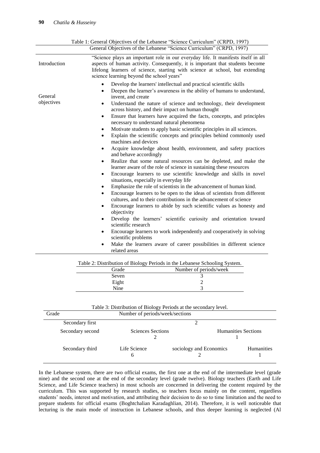|                       | General Objectives of the Lebanese "Science Curriculum" (CRPD, 1997)                                                                                                                                                                                                                                                                                                                                                                                                                                                                                                                                                                                                                                                                                                                                                                                                                                                                                                                                                                                                                                                                                                                                                                                                                                                                                                                                                                                                                                                                                                                                                                                      |
|-----------------------|-----------------------------------------------------------------------------------------------------------------------------------------------------------------------------------------------------------------------------------------------------------------------------------------------------------------------------------------------------------------------------------------------------------------------------------------------------------------------------------------------------------------------------------------------------------------------------------------------------------------------------------------------------------------------------------------------------------------------------------------------------------------------------------------------------------------------------------------------------------------------------------------------------------------------------------------------------------------------------------------------------------------------------------------------------------------------------------------------------------------------------------------------------------------------------------------------------------------------------------------------------------------------------------------------------------------------------------------------------------------------------------------------------------------------------------------------------------------------------------------------------------------------------------------------------------------------------------------------------------------------------------------------------------|
| Introduction          | "Science plays an important role in our everyday life. It manifests itself in all<br>aspects of human activity. Consequently, it is important that students become<br>lifelong learners of science, starting with science at school, but extending<br>science learning beyond the school years"                                                                                                                                                                                                                                                                                                                                                                                                                                                                                                                                                                                                                                                                                                                                                                                                                                                                                                                                                                                                                                                                                                                                                                                                                                                                                                                                                           |
| General<br>objectives | Develop the learners' intellectual and practical scientific skills<br>Deepen the learner's awareness in the ability of humans to understand,<br>$\bullet$<br>invent, and create<br>Understand the nature of science and technology, their development<br>$\bullet$<br>across history, and their impact on human thought<br>Ensure that learners have acquired the facts, concepts, and principles<br>$\bullet$<br>necessary to understand natural phenomena<br>Motivate students to apply basic scientific principles in all sciences.<br>٠<br>Explain the scientific concepts and principles behind commonly used<br>machines and devices<br>Acquire knowledge about health, environment, and safety practices<br>٠<br>and behave accordingly<br>Realize that some natural resources can be depleted, and make the<br>learner aware of the role of science in sustaining these resources<br>Encourage learners to use scientific knowledge and skills in novel<br>situations, especially in everyday life<br>Emphasize the role of scientists in the advancement of human kind.<br>٠<br>Encourage learners to be open to the ideas of scientists from different<br>$\bullet$<br>cultures, and to their contributions in the advancement of science<br>Encourage learners to abide by such scientific values as honesty and<br>objectivity<br>Develop the learners' scientific curiosity and orientation toward<br>scientific research<br>Encourage learners to work independently and cooperatively in solving<br>$\bullet$<br>scientific problems<br>Make the learners aware of career possibilities in different science<br>$\bullet$<br>related areas |
|                       | Table 2: Distribution of Biology Periods in the Lebanese Schooling System.<br>$\mathbf{M}$ 1 $\mathbf{C}$ 1 1 1                                                                                                                                                                                                                                                                                                                                                                                                                                                                                                                                                                                                                                                                                                                                                                                                                                                                                                                                                                                                                                                                                                                                                                                                                                                                                                                                                                                                                                                                                                                                           |

| Table 2: Distribution of Biology Periods in the Lebanese Schooling System. |                        |  |  |  |
|----------------------------------------------------------------------------|------------------------|--|--|--|
| Grade                                                                      | Number of periods/week |  |  |  |
| Seven                                                                      |                        |  |  |  |
| Eight                                                                      |                        |  |  |  |
| Nine                                                                       |                        |  |  |  |

| Table 3: Distribution of Biology Periods at the secondary level. |  |  |  |  |  |  |
|------------------------------------------------------------------|--|--|--|--|--|--|
|------------------------------------------------------------------|--|--|--|--|--|--|

| Grade            | Number of periods/week/sections |                            |                   |  |
|------------------|---------------------------------|----------------------------|-------------------|--|
| Secondary first  |                                 |                            |                   |  |
| Secondary second | Sciences Sections               | <b>Humanities Sections</b> |                   |  |
| Secondary third  | Life Science<br>h               | sociology and Economics    | <b>Humanities</b> |  |

In the Lebanese system, there are two official exams, the first one at the end of the intermediate level (grade nine) and the second one at the end of the secondary level (grade twelve). Biology teachers (Earth and Life Science, and Life Science teachers) in most schools are concerned in delivering the content required by the curriculum. This was supported by research studies, so teachers focus mainly on the content, regardless students' needs, interest and motivation, and attributing their decision to do so to time limitation and the need to prepare students for official exams (Boghtchalian Karadaghlian, 2014). Therefore, it is well noticeable that lecturing is the main mode of instruction in Lebanese schools, and thus deeper learning is neglected (Al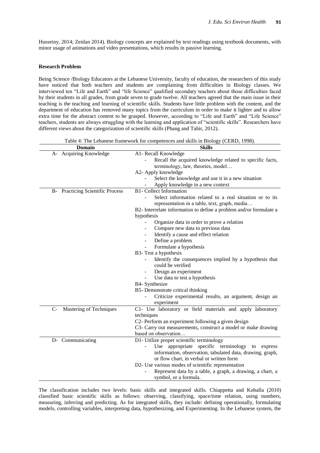Husseiny, 2014; Zeidan 2014). Biology concepts are explained by text readings using textbook documents, with minor usage of animations and video presentations, which results in passive learning.

#### **Research Problem**

Being Science /Biology Educators at the Lebanese University, faculty of education, the researchers of this study have noticed that both teachers and students are complaining from difficulties in Biology classes. We interviewed ten "Life and Earth" and "life Science" qualified secondary teachers about those difficulties faced by their students in all grades, from grade seven to grade twelve. All teachers agreed that the main issue in their teaching is the teaching and learning of scientific skills. Students have little problem with the content, and the department of education has removed many topics from the curriculum in order to make it lighter and to allow extra time for the abstract content to be grasped. However, according to "Life and Earth" and "Life Science" teachers, students are always struggling with the learning and application of "scientific skills". Researchers have different views about the categorization of scientific skills (Phang and Tahir, 2012).

Table 4: The Lebanese framework for competences and skills in Biology (CERD, 1998).

|      | <b>Domain</b>                           | <b>Skills</b>                                                                                 |
|------|-----------------------------------------|-----------------------------------------------------------------------------------------------|
|      | A- Acquiring Knowledge                  | A1- Recall Knowledge                                                                          |
|      |                                         | Recall the acquired knowledge related to specific facts,<br>terminology, law, theories, model |
|      |                                         | A2- Apply knowledge                                                                           |
|      |                                         | Select the knowledge and use it in a new situation                                            |
|      |                                         | Apply knowledge in a new context                                                              |
|      | <b>B-</b> Practicing Scientific Process | <b>B1-</b> Collect Information                                                                |
|      |                                         | Select information related to a real situation or to its                                      |
|      |                                         | representation in a table, text, graph, media                                                 |
|      |                                         | B2- Interrelate information to define a problem and/or formulate a                            |
|      |                                         | hypothesis                                                                                    |
|      |                                         | Organize data in order to prove a relation                                                    |
|      |                                         | Compare new data to previous data<br>$\overline{\phantom{a}}$                                 |
|      |                                         | Identify a cause and effect relation<br>$\sim$                                                |
|      |                                         | Define a problem<br>$\overline{\phantom{a}}$                                                  |
|      |                                         | Formulate a hypothesis                                                                        |
|      |                                         | B3- Test a hypothesis                                                                         |
|      |                                         | Identify the consequences implied by a hypothesis that<br>could be verified                   |
|      |                                         | Design an experiment                                                                          |
|      |                                         | Use data to test a hypothesis                                                                 |
|      |                                         | B4- Synthesize                                                                                |
|      |                                         | B5- Demonstrate critical thinking                                                             |
|      |                                         | Criticize experimental results, an argument, design an                                        |
|      |                                         | experiment                                                                                    |
| $C-$ | Mastering of Techniques                 | C1- Use laboratory or field materials and apply laboratory                                    |
|      |                                         | techniques                                                                                    |
|      |                                         | C2- Perform an experiment following a given design                                            |
|      |                                         | C3- Carry out measurements, construct a model or make drawing                                 |
|      |                                         | based on observation                                                                          |
|      | D- Communicating                        | D1- Utilize proper scientific terminology                                                     |
|      |                                         | Use appropriate specific terminology to express                                               |
|      |                                         | information, observation, tabulated data, drawing, graph,                                     |
|      |                                         | or flow chart, in verbal or written form                                                      |
|      |                                         | D2- Use various modes of scientific representation                                            |
|      |                                         | Represent data by a table, a graph, a drawing, a chart, a                                     |
|      |                                         | symbol, or a formula.                                                                         |

The classification includes two levels: basic skills and integrated skills. Chiappetta and Koballa (2010) classified basic scientific skills as follows: observing, classifying, space/time relation, using numbers, measuring, inferring and predicting. As for integrated skills, they include: defining operationally, formulating models, controlling variables, interpreting data, hypothesizing, and Experimenting. In the Lebanese system, the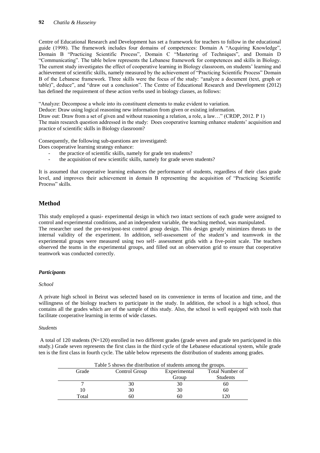Centre of Educational Research and Development has set a framework for teachers to follow in the educational guide (1998). The framework includes four domains of competences: Domain A "Acquiring Knowledge", Domain B "Practicing Scientific Process", Domain C "Mastering of Techniques", and Domain D "Communicating". The table below represents the Lebanese framework for competences and skills in Biology. The current study investigates the effect of cooperative learning in Biology classroom, on students' learning and achievement of scientific skills, namely measured by the achievement of "Practicing Scientific Process" Domain B of the Lebanese framework. Three skills were the focus of the study: "analyze a document (text, graph or table)", deduce", and "draw out a conclusion". The Centre of Educational Research and Development (2012) has defined the requirement of these action verbs used in biology classes, as follows:

"Analyze: Decompose a whole into its constituent elements to make evident to variation.

Deduce: Draw using logical reasoning new information from given or existing information.

Draw out: Draw from a set of given and without reasoning a relation, a role, a law…" (CRDP, 2012. P 1)

The main research question addressed in the study: Does cooperative learning enhance students' acquisition and practice of scientific skills in Biology classroom?

Consequently, the following sub-questions are investigated:

Does cooperative learning strategy enhance:

- the practice of scientific skills, namely for grade ten students?
- the acquisition of new scientific skills, namely for grade seven students?

It is assumed that cooperative learning enhances the performance of students, regardless of their class grade level, and improves their achievement in domain B representing the acquisition of "Practicing Scientific Process" skills.

# **Method**

This study employed a quasi- experimental design in which two intact sections of each grade were assigned to control and experimental conditions, and an independent variable, the teaching method, was manipulated.

The researcher used the pre-test/post-test control group design. This design greatly minimizes threats to the internal validity of the experiment. In addition, self-assessment of the student's and teamwork in the experimental groups were measured using two self- assessment grids with a five-point scale. The teachers observed the teams in the experimental groups, and filled out an observation grid to ensure that cooperative teamwork was conducted correctly.

### *Participants*

#### *School*

A private high school in Beirut was selected based on its convenience in terms of location and time, and the willingness of the biology teachers to participate in the study. In addition, the school is a high school, thus contains all the grades which are of the sample of this study. Also, the school is well equipped with tools that facilitate cooperative learning in terms of wide classes.

#### *Students*

A total of 120 students (N=120) enrolled in two different grades (grade seven and grade ten participated in this study.) Grade seven represents the first class in the third cycle of the Lebanese educational system, while grade ten is the first class in fourth cycle. The table below represents the distribution of students among grades.

| Table 5 shows the distribution of students among the groups. |    |              |                        |  |  |  |
|--------------------------------------------------------------|----|--------------|------------------------|--|--|--|
| Grade<br>Control Group                                       |    | Experimental | <b>Total Number of</b> |  |  |  |
|                                                              |    | Group        | Students               |  |  |  |
|                                                              |    | 30           | 60                     |  |  |  |
| 10                                                           | 30 | 30           | 60                     |  |  |  |
| Total                                                        | 60 | 60           | 20                     |  |  |  |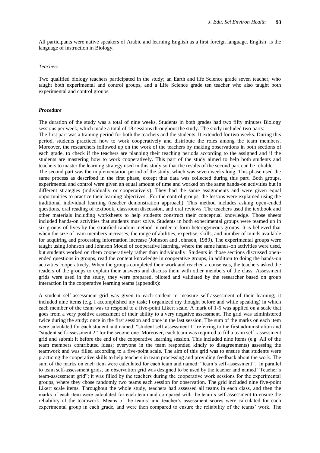All participants were native speakers of Arabic and learning English as a first foreign language. English is the language of instruction in Biology.

#### *Teachers*

Two qualified biology teachers participated in the study; an Earth and life Science grade seven teacher, who taught both experimental and control groups, and a Life Science grade ten teacher who also taught both experimental and control groups.

#### *Procedure*

The duration of the study was a total of nine weeks. Students in both grades had two fifty minutes Biology sessions per week, which made a total of 18 sessions throughout the study. The study included two parts: The first part was a training period for both the teachers and the students. It extended for two weeks. During this period, students practiced how to work cooperatively and distribute the roles among the team members. Moreover, the researchers followed up on the work of the teachers by making observations in both sections of each grade, to check if the teachers are planning their teaching periods according to the assigned and if the students are mastering how to work cooperatively. This part of the study aimed to help both students and teachers to master the learning strategy used in this study so that the results of the second part can be reliable. The second part was the implementation period of the study, which was seven weeks long. This phase used the same process as described in the first phase, except that data was collected during this part. Both groups, experimental and control were given an equal amount of time and worked on the same hands-on activities but in different strategies (individually or cooperatively). They had the same assignments and were given equal opportunities to practice their learning objectives. For the control groups, the lessons were explained using the traditional individual learning (teacher demonstration approach). This method includes asking open-ended questions, oral reading of textbook, classroom discussion, and oral reviews. The teachers used the textbook and other materials including worksheets to help students construct their conceptual knowledge. Those sheets included hands-on activities that students must solve. Students in both experimental groups were teamed up in six groups of fives by the stratified random method in order to form heterogeneous groups. It is believed that when the size of team members increases, the range of abilities, expertise, skills, and number of minds available for acquiring and processing information increase (Johnson and Johnson, 1989). The experimental groups were taught using Johnson and Johnson Model of cooperative learning, where the same hands-on activities were used, but students worked on them cooperatively rather than individually. Students in those sections discussed openended questions in groups, read the content knowledge in cooperative groups, in addition to doing the hands-on activities cooperatively. When the groups completed their work and reached a consensus, the teachers asked the readers of the groups to explain their answers and discuss them with other members of the class. Assessment grids were used in the study, they were prepared, piloted and validated by the researcher based on group interaction in the cooperative learning teams (appendix):

A student self-assessment grid was given to each student to measure self-assessment of their learning; it included nine items (e.g. I accomplished my task; I organized my thought before and while speaking) in which each member of the team was to respond to a five-point Likert scale. A mark of 1-5 was applied on a scale that goes from a very positive assessment of their ability to a very negative assessment. The grid was administered twice during the study: once in the first session and once in the last session. The sum of the marks on each item were calculated for each student and named: "student self-assessment 1" referring to the first administration and "student self-assessment 2" for the second one. Moreover, each team was required to fill a team self -assessment grid and submit it before the end of the cooperative learning session. This included nine items (e.g. All of the team members contributed ideas; everyone in the team responded kindly to disagreements) assessing the teamwork and was filled according to a five-point scale. The aim of this grid was to ensure that students were practicing the cooperative skills to help teachers in team processing and providing feedback about the work. The sum of the marks on each item were calculated for each team and named: "team's self-assessment". In parallel to team self-assessment grids, an observation grid was designed to be used by the teacher and named "Teacher's team-assessment grid"; it was filled by the teachers during the cooperative work sessions for the experimental groups, where they chose randomly two teams each session for observation. The grid included nine five-point Likert scale items. Throughout the whole study, teachers had assessed all teams in each class, and then the marks of each item were calculated for each team and compared with the team's self-assessment to ensure the reliability of the teamwork. Means of the teams' and teacher's assessment scores were calculated for each experimental group in each grade, and were then compared to ensure the reliability of the teams' work. The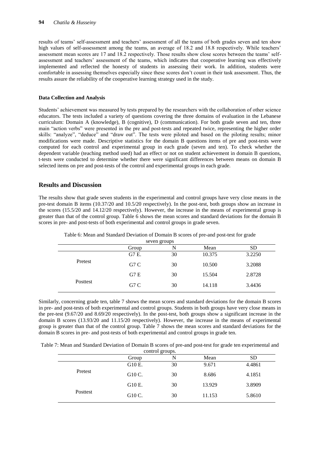results of teams' self-assessment and teachers' assessment of all the teams of both grades seven and ten show high values of self-assessment among the teams, an average of 18.2 and 18.8 respectively. While teachers' assessment mean scores are 17 and 18.2 respectively. Those results show close scores between the teams' selfassessment and teachers' assessment of the teams, which indicates that cooperative learning was effectively implemented and reflected the honesty of students in assessing their work. In addition, students were comfortable in assessing themselves especially since these scores don't count in their task assessment. Thus, the results assure the reliability of the cooperative learning strategy used in the study.

### **Data Collection and Analysis**

Students' achievement was measured by tests prepared by the researchers with the collaboration of other science educators. The tests included a variety of questions covering the three domains of evaluation in the Lebanese curriculum: Domain A (knowledge), B (cognitive), D (communication). For both grade seven and ten, three main "action verbs" were presented in the pre and post-tests and repeated twice, representing the higher order skills: "analyze", "deduce" and "draw out". The tests were piloted and based on the piloting results; minor modifications were made. Descriptive statistics for the domain B questions items of pre and post-tests were computed for each control and experimental group in each grade (seven and ten). To check whether the dependent variable (teaching method used) had an effect or not on student achievement in domain B questions, t-tests were conducted to determine whether there were significant differences between means on domain B selected items on pre and post-tests of the control and experimental groups in each grade.

## **Results and Discussion**

The results show that grade seven students in the experimental and control groups have very close means in the pre-test domain B items (10.37/20 and 10.5/20 respectively). In the post-test, both groups show an increase in the scores (15.5/20 and 14.12/20 respectively). However, the increase in the means of experimental group is greater than that of the control group. Table 6 shows the mean scores and standard deviations for the domain B scores in pre- and post-tests of both experimental and control groups in grade seven.

| seven groups |                  |    |        |           |  |  |
|--------------|------------------|----|--------|-----------|--|--|
|              | Group            | N  | Mean   | <b>SD</b> |  |  |
|              | G7 E.            | 30 | 10.375 | 3.2250    |  |  |
| Pretest      | G <sub>7</sub> C | 30 | 10.500 | 3.2088    |  |  |
|              | G7E              | 30 | 15.504 | 2.8728    |  |  |
| Posttest     | G <sub>7</sub> C | 30 | 14.118 | 3.4436    |  |  |

Table 6: Mean and Standard Deviation of Domain B scores of pre-and post-test for grade

Similarly, concerning grade ten, table 7 shows the mean scores and standard deviations for the domain B scores in pre- and post-tests of both experimental and control groups. Students in both groups have very close means in the pre-test (9.67/20 and 8.69/20 respectively). In the post-test, both groups show a significant increase in the domain B scores (13.93/20 and 11.15/20 respectively). However, the increase in the means of experimental group is greater than that of the control group. Table 7 shows the mean scores and standard deviations for the domain B scores in pre- and post-tests of both experimental and control groups in grade ten.

Table 7: Mean and Standard Deviation of Domain B scores of pre-and post-test for grade ten experimental and

| control groups. |        |    |        |           |  |  |
|-----------------|--------|----|--------|-----------|--|--|
|                 | Group  | N  | Mean   | <b>SD</b> |  |  |
|                 | G10 E. | 30 | 9.671  | 4.4861    |  |  |
| Pretest         | G10 C. | 30 | 8.686  | 4.1851    |  |  |
|                 | G10 E. | 30 | 13.929 | 3.8909    |  |  |
| Posttest        | G10 C. | 30 | 11.153 | 5.8610    |  |  |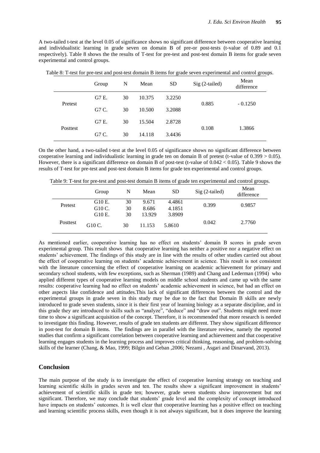A two-tailed t-test at the level 0.05 of significance shows no significant difference between cooperative learning and individualistic learning in grade seven on domain B of pre-or post-tests (t-value of 0.89 and 0.1 respectively). Table 8 shows the the results of T-test for pre-test and post-test domain B items for grade seven experimental and control groups.

|                  | $\overline{\phantom{a}}$<br>л. |    |        | ັ         |                 | $\tilde{\phantom{a}}$ |
|------------------|--------------------------------|----|--------|-----------|-----------------|-----------------------|
|                  | Group                          | N  | Mean   | <b>SD</b> | $Sig(2-tailed)$ | Mean<br>difference    |
|                  | G7 E.                          | 30 | 10.375 | 3.2250    | 0.885           | $-0.1250$             |
| Pretest<br>G7 C. |                                | 30 | 10.500 | 3.2088    |                 |                       |
|                  | G7 E.                          | 30 | 15.504 | 2.8728    |                 |                       |
| Posttest         | G7 C.                          | 30 | 14.118 | 3.4436    | 0.108           | 1.3866                |

Table 8: T-test for pre-test and post-test domain B items for grade seven experimental and control groups.

On the other hand, a two-tailed t-test at the level 0.05 of significance shows no significant difference between cooperative learning and individualistic learning in grade ten on domain B of pretest (t-value of  $0.399 > 0.05$ ). However, there is a significant difference on domain B of post-test (t-value of  $0.042 < 0.05$ ). Table 9 shows the results of T-test for pre-test and post-test domain B items for grade ten experimental and control groups.

Table 9: T-test for pre-test and post-test domain B items of grade ten experimental and control groups.

|          | Group              | N  | Mean   | <b>SD</b> | $Sig(2-tailed)$ | Mean<br>difference |
|----------|--------------------|----|--------|-----------|-----------------|--------------------|
| Pretest  | G10 E.             | 30 | 9.671  | 4.4861    | 0.399           | 0.9857             |
|          | G <sub>10</sub> C. | 30 | 8.686  | 4.1851    |                 |                    |
|          | G <sub>10</sub> E. | 30 | 13.929 | 3.8909    |                 |                    |
| Posttest | G10 C.             | 30 | 11.153 | 5.8610    | 0.042           | 2.7760             |

As mentioned earlier, cooperative learning has no effect on students' domain B scores in grade seven experimental group. This result shows that cooperative learning has neither a positive nor a negative effect on students' achievement. The findings of this study are in line with the results of other studies carried out about the effect of cooperative learning on students' academic achievement in science. This result is not consistent with the literature concerning the effect of cooperative learning on academic achievement for primary and secondary school students, with few exceptions, such as Sherman (1989) and Chang and Lederman (1994) who applied different types of cooperative learning models on middle school students and came up with the same results: cooperative learning had no effect on students' academic achievement in science, but had an effect on other aspects like confidence and attitudes.This lack of significant differences between the control and the experimental groups in grade seven in this study may be due to the fact that Domain B skills are newly introduced to grade seven students, since it is their first year of learning biology as a separate discipline, and in this grade they are introduced to skills such as "analyze", "deduce" and "draw out". Students might need more time to show a significant acquisition of the concept. Therefore, it is recommended that more research is needed to investigate this finding. However, results of grade ten students are different. They show significant difference in post-test for domain B items. The findings are in parallel with the literature review, namely the reported studies that confirm a significant correlation between cooperative learning and achievement and that cooperative learning engages students in the learning process and improves critical thinking, reasoning, and problem-solving skills of the learner (Chang, & Mao, 1999; Bilgin and Geban ,2006; Nezami , Asgari and Dinarvand, 2013).

## **Conclusion**

The main purpose of the study is to investigate the effect of cooperative learning strategy on teaching and learning scientific skills in grades seven and ten. The results show a significant improvement in students' achievement of scientific skills in grade ten; however, grade seven students show improvement but not significant. Therefore, we may conclude that students' grade level and the complexity of concept introduced have impacts on students' outcomes. It is well clear that cooperative learning has a positive effect on teaching and learning scientific process skills, even though it is not always significant, but it does improve the learning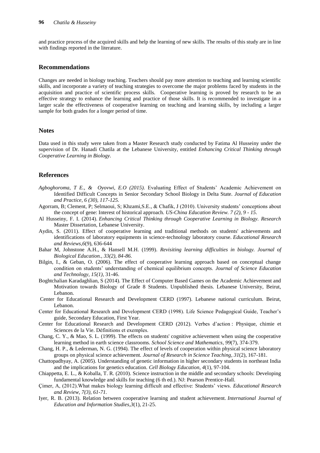and practice process of the acquired skills and help the learning of new skills. The results of this study are in line with findings reported in the literature.

## **Recommendations**

Changes are needed in biology teaching. Teachers should pay more attention to teaching and learning scientific skills, and incorporate a variety of teaching strategies to overcome the major problems faced by students in the acquisition and practice of scientific process skills. Cooperative learning is proved by research to be an effective strategy to enhance the learning and practice of those skills. It is recommended to investigate in a larger scale the effectiveness of cooperative learning on teaching and learning skills, by including a larger sample for both grades for a longer period of time.

## **Notes**

Data used in this study were taken from a Master Research study conducted by Fatima Al Husseiny under the supervision of Dr. Hanadi Chatila at the Lebanese University, entitled *Enhancing Critical Thinking through Cooperative Learning in Biology.*

### **References**

- *Agboghoroma, T E., & Oyovwi, E.O (2015).* Evaluating Effect of Students' Academic Achievement on Identified Difficult Concepts in Senior Secondary School Biology in Delta State. *Journal of Education and Practice, 6 (30), 117-125.*
- Agorram, B; Clement, P; Selmaoui, S; Khzami,S.E., & Chafik, J (2010). University students' conceptions about the concept of gene: Interest of historical approach. *US-China Education Review. 7 (2), 9 - 15*.
- Al Husseiny, F. I. (2014). *Enhancing Critical Thinking through Cooperative Learning in Biology. Research*  Master Dissertation, Lebanese University.
- Aydin, S. (2011). Effect of cooperative learning and traditional methods on students' achievements and identifications of laboratory equipments in science-technology laboratory course. *Educational Research and Reviews*,*6*(9), 636-644
- Bahar M, Johnstone A.H., & Hansell M.H. (1999). *Revisiting learning difficulties in biology. Journal of Biological Education., 33(2), 84-86.*
- Bilgin, I., & Geban, O. (2006). The effect of cooperative learning approach based on conceptual change condition on students' understanding of chemical equilibrium concepts. *Journal of Science Education and Technology, 15(1)*, 31-46.
- Boghtchalian Karadaghlian, S (2014). The Effect of Computer Based Games on the Academic Achievement and Motivation towards Biology of Grade 8 Students. Unpublished thesis. Lebanese University, Beirut, Lebanon.
- Center for Educational Research and Development CERD (1997). Lebanese national curriculum. Beirut, Lebanon.
- Center for Educational Research and Development CERD (1998). Life Science Pedagogical Guide, Teacher's guide, Secondary Education, First Year.
- Center for Educational Research and Development CERD (2012). Verbes d'action : Physique, chimie et Sciences de la Vie. Définitions et exemples.
- Chang, C. Y., & Mao, S. L. (1999). The effects on students' cognitive achievement when using the cooperative learning method in earth science classrooms. *School Science and Mathematics*, *99*(7), 374-379.
- Chang, H. P., & Lederman, N. G. (1994). The effect of levels of cooperation within physical science laboratory groups on physical science achievement. *Journal of Research in Science Teaching*, *31*(2), 167-181.
- Chattopadhyay, A. (2005). Understanding of genetic information in higher secondary students in northeast India and the implications for genetics education. *Cell Biology Education*, *4*(1), 97-104.
- Chiappetta, E. L., & Koballa, T. R. (2010). Science instruction in the middle and secondary schools: Developing fundamental knowledge and skills for teaching (6 th ed.). NJ: Pearson Prentice-Hall.
- Çimer, A, (2012).What makes biology learning difficult and effective: Students' views. *Educational Research and Review, 7(3), 61-71.*
- Iyer, R. B. (2013). Relation between cooperative learning and student achievement. *International Journal of Education and Information Studies*,*3*(1), 21-25.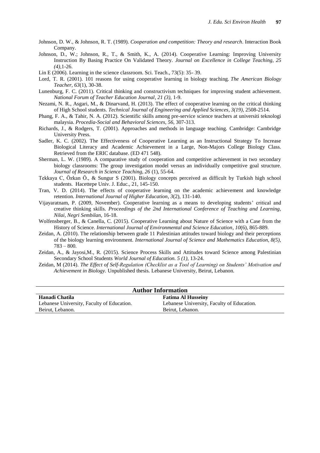- Johnson, D. W., & Johnson, R. T. (1989). *Cooperation and competition: Theory and research*. Interaction Book Company.
- Johnson, D., W.; Johnson, R., T., & Smith, K., A. (2014). Cooperative Learning: Improving University Instruction By Basing Practice On Validated Theory. *Journal on Excellence in College Teaching*, *25 (4),*1-26.
- Lin E (2006). Learning in the science classroom. Sci. Teach., 73(5): 35- 39.
- Lord, T. R. (2001). 101 reasons for using cooperative learning in biology teaching. *The American Biology Teacher*, *63*(1), 30-38.
- Lunenburg, F. C. (2011). Critical thinking and constructivism techniques for improving student achievement*. National Forum of Teacher Education Journal, 21 (3),* 1-9.
- Nezami, N. R., Asgari, M., & Dinarvand, H. (2013). The effect of cooperative learning on the critical thinking of High School students. *Technical Journal of Engineering and Applied Sciences*, *3(19)*, 2508-2514.
- Phang, F. A., & Tahir, N. A. (2012). Scientific skills among pre-service science teachers at universiti teknologi malaysia. *Procedia-Social and Behavioral Sciences*, *56*, 307-313.
- Richards, J., & Rodgers, T. (2001). Approaches and methods in language teaching. Cambridge: Cambridge University Press.
- Sadler, K. C. (2002). The Effectiveness of Cooperative Learning as an Instructional Strategy To Increase Biological Literacy and Academic Achievement in a Large, Non-Majors College Biology Class. Retrieved from the ERIC database. (ED 471 548).
- Sherman, L. W. (1989). A comparative study of cooperation and competitive achievement in two secondary biology classrooms: The group investigation model versus an individually competitive goal structure. *Journal of Research in Science Teaching, 26* (1), 55-64.
- Tekkaya C, Özkan Ö., & Sungur S (2001). Biology concepts perceived as difficult by Turkish high school students. Hacettepe Univ. J. Educ., 21, 145-150.
- Tran, V. D. (2014). The effects of cooperative learning on the academic achievement and knowledge retention. *International Journal of Higher Education*, *3*(2), 131-140.
- Vijayaratnam, P. (2009, November). Cooperative learning as a means to developing students' critical and creative thinking skills. *Proceedings of the 2nd International Conference of Teaching and Learning, Nilai, Negri Sembilan,* 16-18.
- Wolfensberger, B., & Canella, C. (2015). Cooperative Learning about Nature of Science with a Case from the History of Science. *International Journal of Environmental and Science Education*, *10*(6), 865-889.
- Zeidan, A. (2010). The relationship between grade 11 Palestinian attitudes toward biology and their perceptions of the biology learning environment. *International Journal of Science and Mathematics Education, 8(5),*  783 – 800*.*
- Zeidan, A., & Jayosi,M., R. (2015). Science Process Skills and Attitudes toward Science among Palestinian Secondary School Students *World Journal of Education. 5 (1),* 13-24.
- Zeidan, M (2014). *The Effect of Self-Regulation (Checklist as a Tool of Learning) on Students' Motivation and Achievement in Biology.* Unpublished thesis. Lebanese University, Beirut, Lebanon.

| <b>Author Information</b>                  |                                            |  |  |  |
|--------------------------------------------|--------------------------------------------|--|--|--|
| Hanadi Chatila                             | <b>Fatima Al Husseiny</b>                  |  |  |  |
| Lebanese University, Faculty of Education. | Lebanese University, Faculty of Education. |  |  |  |
| Beirut, Lebanon.                           | Beirut, Lebanon.                           |  |  |  |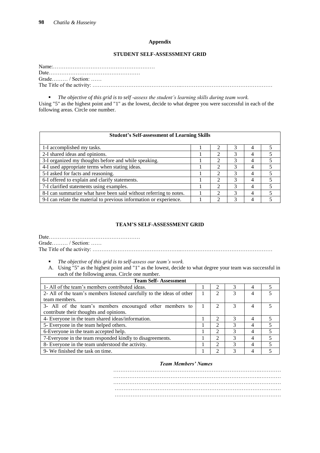#### **Appendix**

#### **STUDENT SELF-ASSESSMENT GRID**

| Grade / Section |  |
|-----------------|--|
|                 |  |

 *The objective of this grid is to self -assess the student's learning skills during team work.* Using "5" as the highest point and "1" as the lowest, decide to what degree you were successful in each of the following areas. Circle one number.

| <b>Student's Self-assessment of Learning Skills</b>                |   |   |   |
|--------------------------------------------------------------------|---|---|---|
| 1-I accomplished my tasks.                                         |   |   |   |
| 2-I shared ideas and opinions.                                     |   | 4 |   |
| 3-I organized my thoughts before and while speaking.               |   | 4 |   |
| 4-I used appropriate terms when stating ideas.                     |   | 4 |   |
| 5-I asked for facts and reasoning.                                 |   |   |   |
| 6-I offered to explain and clarify statements.                     | 2 | 4 | 5 |
| 7-I clarified statements using examples.                           |   | 4 |   |
| 8-I can summarize what have been said without referring to notes.  | 2 | 4 |   |
| 9-I can relate the material to previous information or experience. |   |   |   |

## **TEAM'S SELF-ASSESSMENT GRID**

Date…………………………………………… Grade……… / Section: …… The Title of the activity: …………………………………………..……………………………………………

- 
- *The objective of this grid is to self-assess our team's work.* A. Using "5" as the highest point and "1" as the lowest, decide to what degree your team was successful in each of the following areas. Circle one number.

| <b>Team Self-Assessment</b>                                           |                             |   |   |  |
|-----------------------------------------------------------------------|-----------------------------|---|---|--|
| 1- All of the team's members contributed ideas.                       | $\mathcal{D}_{\mathcal{L}}$ | 3 | 4 |  |
| 2- All of the team's members listened carefully to the ideas of other | $\mathfrak{D}$              | 3 | 4 |  |
| team members.                                                         |                             |   |   |  |
| 3- All of the team's members encouraged other members to              |                             |   | 4 |  |
| contribute their thoughts and opinions.                               |                             |   |   |  |
| 4- Everyone in the team shared ideas/information.                     | $\mathfrak{D}$              |   | 4 |  |
| 5- Everyone in the team helped others.                                | $\mathfrak{D}$              |   | 4 |  |
| 6-Everyone in the team accepted help.                                 | $\mathfrak{D}$              |   | 4 |  |
| 7-Everyone in the team responded kindly to disagreements.             | $\mathcal{D}_{\mathcal{L}}$ | 3 | 4 |  |
| 8- Everyone in the team understood the activity.                      | $\mathfrak{D}$              | 3 | 4 |  |
| 9- We finished the task on time.                                      | ◠                           | 3 | 4 |  |

## *Team Members' Names*